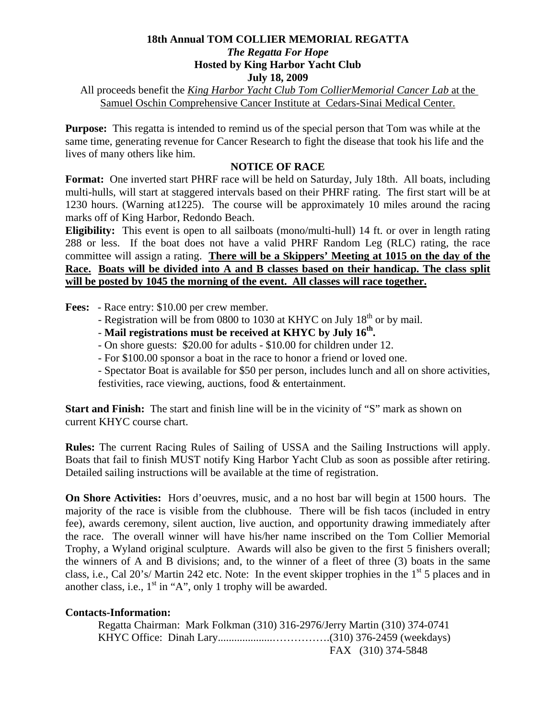## **18th Annual TOM COLLIER MEMORIAL REGATTA**  *The Regatta For Hope*  **Hosted by King Harbor Yacht Club July 18, 2009**

All proceeds benefit the *King Harbor Yacht Club Tom CollierMemorial Cancer Lab* at the Samuel Oschin Comprehensive Cancer Institute at Cedars-Sinai Medical Center.

**Purpose:** This regatta is intended to remind us of the special person that Tom was while at the same time, generating revenue for Cancer Research to fight the disease that took his life and the lives of many others like him.

## **NOTICE OF RACE**

**Format:** One inverted start PHRF race will be held on Saturday, July 18th. All boats, including multi-hulls, will start at staggered intervals based on their PHRF rating. The first start will be at 1230 hours. (Warning at1225). The course will be approximately 10 miles around the racing marks off of King Harbor, Redondo Beach.

**Eligibility:** This event is open to all sailboats (mono/multi-hull) 14 ft. or over in length rating 288 or less. If the boat does not have a valid PHRF Random Leg (RLC) rating, the race committee will assign a rating. **There will be a Skippers' Meeting at 1015 on the day of the Race. Boats will be divided into A and B classes based on their handicap. The class split will be posted by 1045 the morning of the event. All classes will race together.**

**Fees:** - Race entry: \$10.00 per crew member.

- Registration will be from 0800 to 1030 at KHYC on July 18<sup>th</sup> or by mail.
- **Mail registrations must be received at KHYC by July 16th.**
- On shore guests: \$20.00 for adults \$10.00 for children under 12.
- For \$100.00 sponsor a boat in the race to honor a friend or loved one.

 - Spectator Boat is available for \$50 per person, includes lunch and all on shore activities, festivities, race viewing, auctions, food & entertainment.

**Start and Finish:** The start and finish line will be in the vicinity of "S" mark as shown on current KHYC course chart.

**Rules:** The current Racing Rules of Sailing of USSA and the Sailing Instructions will apply. Boats that fail to finish MUST notify King Harbor Yacht Club as soon as possible after retiring. Detailed sailing instructions will be available at the time of registration.

**On Shore Activities:** Hors d'oeuvres, music, and a no host bar will begin at 1500 hours. The majority of the race is visible from the clubhouse. There will be fish tacos (included in entry fee), awards ceremony, silent auction, live auction, and opportunity drawing immediately after the race. The overall winner will have his/her name inscribed on the Tom Collier Memorial Trophy, a Wyland original sculpture. Awards will also be given to the first 5 finishers overall; the winners of A and B divisions; and, to the winner of a fleet of three (3) boats in the same class, i.e., Cal 20's/ Martin 242 etc. Note: In the event skipper trophies in the  $1<sup>st</sup> 5$  places and in another class, i.e.,  $1<sup>st</sup>$  in "A", only 1 trophy will be awarded.

## **Contacts-Information:**

 Regatta Chairman: Mark Folkman (310) 316-2976/Jerry Martin (310) 374-0741 KHYC Office: Dinah Lary....................…………….(310) 376-2459 (weekdays) FAX (310) 374-5848